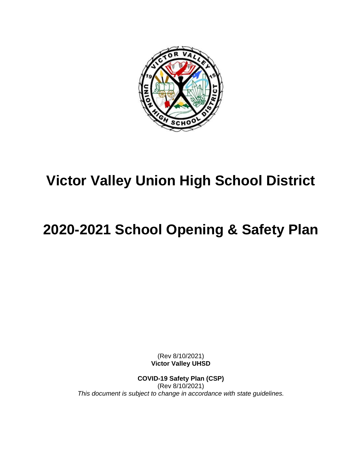

## **Victor Valley Union High School District**

# **2020-2021 School Opening & Safety Plan**

(Rev 8/10/2021) **Victor Valley UHSD**

**COVID-19 Safety Plan (CSP)** (Rev 8/10/2021) *This document is subject to change in accordance with state guidelines.*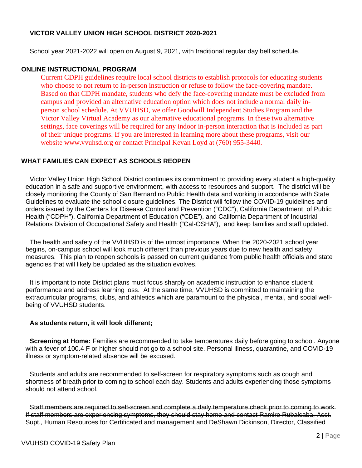#### **VICTOR VALLEY UNION HIGH SCHOOL DISTRICT 2020-2021**

School year 2021-2022 will open on August 9, 2021, with traditional regular day bell schedule.

#### **ONLINE INSTRUCTIONAL PROGRAM**

Current CDPH guidelines require local school districts to establish protocols for educating students who choose to not return to in-person instruction or refuse to follow the face-covering mandate. Based on that CDPH mandate, students who defy the face-covering mandate must be excluded from campus and provided an alternative education option which does not include a normal daily inperson school schedule. At VVUHSD, we offer Goodwill Independent Studies Program and the Victor Valley Virtual Academy as our alternative educational programs. In these two alternative settings, face coverings will be required for any indoor in-person interaction that is included as part of their unique programs. If you are interested in learning more about these programs, visit our website [www.vvuhsd.org](http://www.vvuhsd.org/) or contact Principal Kevan Loyd at (760) 955-3440.

#### **WHAT FAMILIES CAN EXPECT AS SCHOOLS REOPEN**

Victor Valley Union High School District continues its commitment to providing every student a high-quality education in a safe and supportive environment, with access to resources and support. The district will be closely monitoring the County of San Bernardino Public Health data and working in accordance with State Guidelines to evaluate the school closure guidelines. The District will follow the COVID-19 guidelines and orders issued by the Centers for Disease Control and Prevention ("CDC"), California Department of Public Health ("CDPH"), California Department of Education ("CDE"), and California Department of Industrial Relations Division of Occupational Safety and Health ("Cal-OSHA"), and keep families and staff updated.

The health and safety of the VVUHSD is of the utmost importance. When the 2020-2021 school year begins, on-campus school will look much different than previous years due to new health and safety measures. This plan to reopen schools is passed on current guidance from public health officials and state agencies that will likely be updated as the situation evolves.

It is important to note District plans must focus sharply on academic instruction to enhance student performance and address learning loss. At the same time, VVUHSD is committed to maintaining the extracurricular programs, clubs, and athletics which are paramount to the physical, mental, and social wellbeing of VVUHSD students.

#### **As students return, it will look different;**

**Screening at Home:** Families are recommended to take temperatures daily before going to school. Anyone with a fever of 100.4 F or higher should not go to a school site. Personal illness, quarantine, and COVID-19 illness or symptom-related absence will be excused.

Students and adults are recommended to self-screen for respiratory symptoms such as cough and shortness of breath prior to coming to school each day. Students and adults experiencing those symptoms should not attend school.

Staff members are required to self-screen and complete a daily temperature check prior to coming to work. If staff members are experiencing symptoms, they should stay home and contact Ramiro Rubalcaba, Asst. Supt., Human Resources for Certificated and management and DeShawn Dickinson, Director, Classified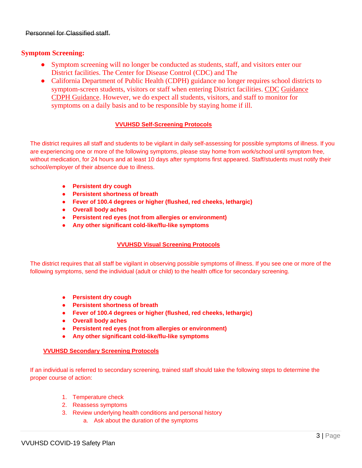#### Personnel for Classified staff.

#### **Symptom Screening:**

- Symptom screening will no longer be conducted as students, staff, and visitors enter our District facilities. The Center for Disease Control (CDC) and The
- California Department of Public Health (CDPH) guidance no longer requires school districts to symptom-screen students, visitors or staff when entering District facilities. [CDC](https://www.cdc.gov/coronavirus/2019-ncov/community/schools-childcare/k-12-guidance.html) [Guidance](https://www.cdc.gov/coronavirus/2019-ncov/community/schools-childcare/k-12-guidance.html) [CDPH Guidance.](https://www.cdph.ca.gov/Programs/CID/DCDC/Pages/COVID-19/K-12-Guidance-2021-22-School-Year.aspx) However, we do expect all students, visitors, and staff to monitor for symptoms on a daily basis and to be responsible by staying home if ill.

#### **VVUHSD Self-Screening Protocols**

The district requires all staff and students to be vigilant in daily self-assessing for possible symptoms of illness. If you are experiencing one or more of the following symptoms, please stay home from work/school until symptom free, without medication, for 24 hours and at least 10 days after symptoms first appeared. Staff/students must notify their school/employer of their absence due to illness.

- **● Persistent dry cough**
- **● Persistent shortness of breath**
- **● Fever of 100.4 degrees or higher (flushed, red cheeks, lethargic)**
- **● Overall body aches**
- **● Persistent red eyes (not from allergies or environment)**
- **● Any other significant cold-like/flu-like symptoms**

#### **VVUHSD Visual Screening Protocols**

The district requires that all staff be vigilant in observing possible symptoms of illness. If you see one or more of the following symptoms, send the individual (adult or child) to the health office for secondary screening.

- **● Persistent dry cough**
- **● Persistent shortness of breath**
- **● Fever of 100.4 degrees or higher (flushed, red cheeks, lethargic)**
- **● Overall body aches**
- **● Persistent red eyes (not from allergies or environment)**
- **● Any other significant cold-like/flu-like symptoms**

#### **VVUHSD Secondary Screening Protocols**

If an individual is referred to secondary screening, trained staff should take the following steps to determine the proper course of action:

- 1. Temperature check
- 2. Reassess symptoms
- 3. Review underlying health conditions and personal history
	- a. Ask about the duration of the symptoms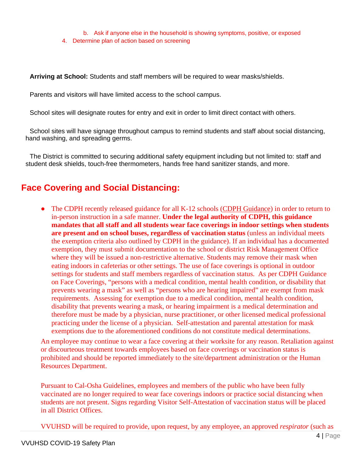b. Ask if anyone else in the household is showing symptoms, positive, or exposed

4. Determine plan of action based on screening

**Arriving at School:** Students and staff members will be required to wear masks/shields.

Parents and visitors will have limited access to the school campus.

School sites will designate routes for entry and exit in order to limit direct contact with others.

School sites will have signage throughout campus to remind students and staff about social distancing, hand washing, and spreading germs.

The District is committed to securing additional safety equipment including but not limited to: staff and student desk shields, touch-free thermometers, hands free hand sanitizer stands, and more.

### **Face Covering and Social Distancing:**

• The CDPH recently released guidance for all K-12 schools [\(CDPH Guidance\)](https://www.cdph.ca.gov/Programs/CID/DCDC/Pages/COVID-19/K-12-Guidance-2021-22-School-Year.aspx) in order to return to in-person instruction in a safe manner. **Under the legal authority of CDPH, this guidance mandates that all staff and all students wear face coverings in indoor settings when students are present and on school buses, regardless of vaccination status** (unless an individual meets the exemption criteria also outlined by CDPH in the guidance). If an individual has a documented exemption, they must submit documentation to the school or district Risk Management Office where they will be issued a non-restrictive alternative. Students may remove their mask when eating indoors in cafeterias or other settings. The use of face coverings is optional in outdoor settings for students and staff members regardless of vaccination status. As per CDPH Guidance on Face Coverings, "persons with a medical condition, mental health condition, or disability that prevents wearing a mask" as well as "persons who are hearing impaired" are exempt from mask requirements. Assessing for exemption due to a medical condition, mental health condition, disability that prevents wearing a mask, or hearing impairment is a medical determination and therefore must be made by a physician, nurse practitioner, or other licensed medical professional practicing under the license of a physician. Self-attestation and parental attestation for mask exemptions due to the aforementioned conditions do not constitute medical determinations.

An employee may continue to wear a face covering at their worksite for any reason. Retaliation against or discourteous treatment towards employees based on face coverings or vaccination status is prohibited and should be reported immediately to the site/department administration or the Human Resources Department.

Pursuant to Cal-Osha Guidelines, employees and members of the public who have been fully vaccinated are no longer required to wear face coverings indoors or practice social distancing when students are not present. Signs regarding Visitor Self-Attestation of vaccination status will be placed in all District Offices.

VVUHSD will be required to provide, upon request, by any employee, an approved *respirator* (such as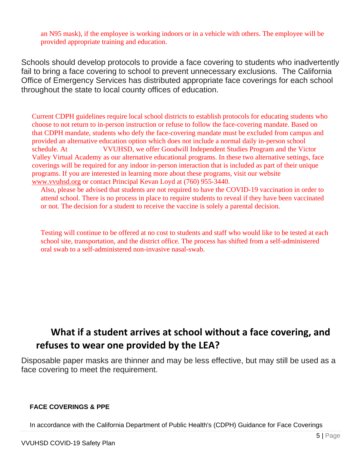an N95 mask), if the employee is working indoors or in a vehicle with others. The employee will be provided appropriate training and education.

Schools should develop protocols to provide a face covering to students who inadvertently fail to bring a face covering to school to prevent unnecessary exclusions. The California Office of Emergency Services has distributed appropriate face coverings for each school throughout the state to local county offices of education.

Current CDPH guidelines require local school districts to establish protocols for educating students who choose to not return to in-person instruction or refuse to follow the face-covering mandate. Based on that CDPH mandate, students who defy the face-covering mandate must be excluded from campus and provided an alternative education option which does not include a normal daily in-person school schedule. At VVUHSD, we offer Goodwill Independent Studies Program and the Victor Valley Virtual Academy as our alternative educational programs. In these two alternative settings, face coverings will be required for any indoor in-person interaction that is included as part of their unique programs. If you are interested in learning more about these programs, visit our website [www.vvuhsd.org](http://www.vvuhsd.org/) or contact Principal Kevan Loyd at (760) 955-3440.

Also, please be advised that students are not required to have the COVID-19 vaccination in order to attend school. There is no process in place to require students to reveal if they have been vaccinated or not. The decision for a student to receive the vaccine is solely a parental decision.

Testing will continue to be offered at no cost to students and staff who would like to be tested at each school site, transportation, and the district office. The process has shifted from a self-administered oral swab to a self-administered non-invasive nasal-swab.

### **What if a student arrives at school without a face covering, and refuses to wear one provided by the LEA?**

Disposable paper masks are thinner and may be less effective, but may still be used as a face covering to meet the requirement.

#### **FACE COVERINGS & PPE**

In accordance with the California Department of Public Health's (CDPH) Guidance for Face Coverings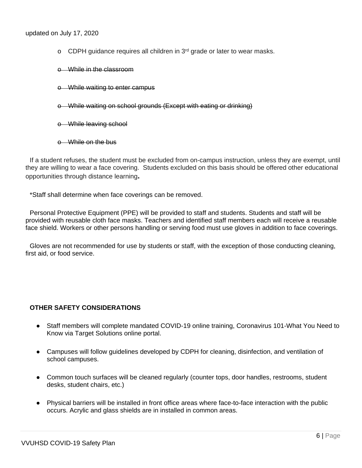- o CDPH guidance requires all children in 3rd grade or later to wear masks.
- o While in the classroom
- o While waiting to enter campus
- o While waiting on school grounds (Except with eating or drinking)
- o While leaving school
- o While on the bus

If a student refuses, the student must be excluded from on-campus instruction, unless they are exempt, until they are willing to wear a face covering. Students excluded on this basis should be offered other educational opportunities through distance learning**.**

\*Staff shall determine when face coverings can be removed.

Personal Protective Equipment (PPE) will be provided to staff and students. Students and staff will be provided with reusable cloth face masks. Teachers and identified staff members each will receive a reusable face shield. Workers or other persons handling or serving food must use gloves in addition to face coverings.

Gloves are not recommended for use by students or staff, with the exception of those conducting cleaning, first aid, or food service.

#### **OTHER SAFETY CONSIDERATIONS**

- Staff members will complete mandated COVID-19 online training, Coronavirus 101-What You Need to Know via Target Solutions online portal.
- Campuses will follow guidelines developed by CDPH for cleaning, disinfection, and ventilation of school campuses.
- Common touch surfaces will be cleaned regularly (counter tops, door handles, restrooms, student desks, student chairs, etc.)
- Physical barriers will be installed in front office areas where face-to-face interaction with the public occurs. Acrylic and glass shields are in installed in common areas.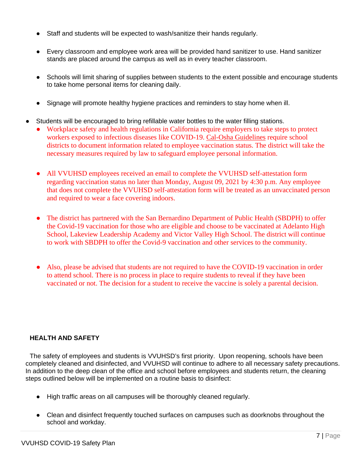- Staff and students will be expected to wash/sanitize their hands regularly.
- Every classroom and employee work area will be provided hand sanitizer to use. Hand sanitizer stands are placed around the campus as well as in every teacher classroom.
- Schools will limit sharing of supplies between students to the extent possible and encourage students to take home personal items for cleaning daily.
- Signage will promote healthy hygiene practices and reminders to stay home when ill.
- Students will be encouraged to bring refillable water bottles to the water filling stations.
	- Workplace safety and health regulations in California require employers to take steps to protect workers exposed to infectious diseases like COVID-19. [Cal-Osha Guidelines](https://www.dir.ca.gov/dosh/coronavirus/) require school districts to document information related to employee vaccination status. The district will take the necessary measures required by law to safeguard employee personal information.
	- All VVUHSD employees received an email to complete the VVUHSD self-attestation form regarding vaccination status no later than Monday, August 09, 2021 by 4:30 p.m. Any employee that does not complete the VVUHSD self-attestation form will be treated as an unvaccinated person and required to wear a face covering indoors.
	- The district has partnered with the San Bernardino Department of Public Health (SBDPH) to offer the Covid-19 vaccination for those who are eligible and choose to be vaccinated at Adelanto High School, Lakeview Leadership Academy and Victor Valley High School. The district will continue to work with SBDPH to offer the Covid-9 vaccination and other services to the community.
	- Also, please be advised that students are not required to have the COVID-19 vaccination in order to attend school. There is no process in place to require students to reveal if they have been vaccinated or not. The decision for a student to receive the vaccine is solely a parental decision.

#### **HEALTH AND SAFETY**

The safety of employees and students is VVUHSD's first priority. Upon reopening, schools have been completely cleaned and disinfected, and VVUHSD will continue to adhere to all necessary safety precautions. In addition to the deep clean of the office and school before employees and students return, the cleaning steps outlined below will be implemented on a routine basis to disinfect:

- High traffic areas on all campuses will be thoroughly cleaned regularly.
- Clean and disinfect frequently touched surfaces on campuses such as doorknobs throughout the school and workday.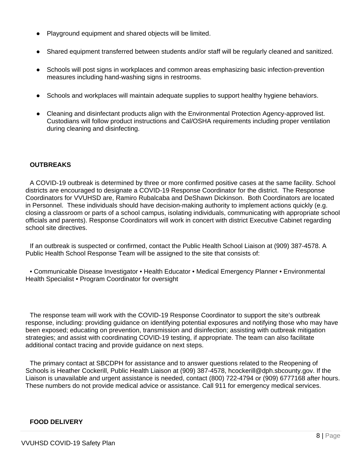- Playground equipment and shared objects will be limited.
- Shared equipment transferred between students and/or staff will be regularly cleaned and sanitized.
- Schools will post signs in workplaces and common areas emphasizing basic infection-prevention measures including hand-washing signs in restrooms.
- Schools and workplaces will maintain adequate supplies to support healthy hygiene behaviors.
- Cleaning and disinfectant products align with the Environmental Protection Agency-approved list. Custodians will follow product instructions and Cal/OSHA requirements including proper ventilation during cleaning and disinfecting.

#### **OUTBREAKS**

A COVID-19 outbreak is determined by three or more confirmed positive cases at the same facility. School districts are encouraged to designate a COVID-19 Response Coordinator for the district. The Response Coordinators for VVUHSD are, Ramiro Rubalcaba and DeShawn Dickinson. Both Coordinators are located in Personnel. These individuals should have decision-making authority to implement actions quickly (e.g. closing a classroom or parts of a school campus, isolating individuals, communicating with appropriate school officials and parents). Response Coordinators will work in concert with district Executive Cabinet regarding school site directives.

If an outbreak is suspected or confirmed, contact the Public Health School Liaison at (909) 387-4578. A Public Health School Response Team will be assigned to the site that consists of:

• Communicable Disease Investigator • Health Educator • Medical Emergency Planner • Environmental Health Specialist • Program Coordinator for oversight

The response team will work with the COVID-19 Response Coordinator to support the site's outbreak response, including: providing guidance on identifying potential exposures and notifying those who may have been exposed; educating on prevention, transmission and disinfection; assisting with outbreak mitigation strategies; and assist with coordinating COVID-19 testing, if appropriate. The team can also facilitate additional contact tracing and provide guidance on next steps.

The primary contact at SBCDPH for assistance and to answer questions related to the Reopening of Schools is Heather Cockerill, Public Health Liaison at (909) 387-4578, hcockerill@dph.sbcounty.gov. If the Liaison is unavailable and urgent assistance is needed, contact (800) 722-4794 or (909) 6777168 after hours. These numbers do not provide medical advice or assistance. Call 911 for emergency medical services.

#### **FOOD DELIVERY**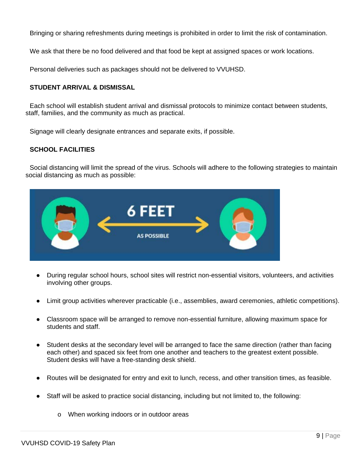Bringing or sharing refreshments during meetings is prohibited in order to limit the risk of contamination.

We ask that there be no food delivered and that food be kept at assigned spaces or work locations.

Personal deliveries such as packages should not be delivered to VVUHSD.

#### **STUDENT ARRIVAL & DISMISSAL**

Each school will establish student arrival and dismissal protocols to minimize contact between students, staff, families, and the community as much as practical.

Signage will clearly designate entrances and separate exits, if possible.

#### **SCHOOL FACILITIES**

Social distancing will limit the spread of the virus. Schools will adhere to the following strategies to maintain social distancing as much as possible:



- During regular school hours, school sites will restrict non-essential visitors, volunteers, and activities involving other groups.
- Limit group activities wherever practicable (i.e., assemblies, award ceremonies, athletic competitions).
- Classroom space will be arranged to remove non-essential furniture, allowing maximum space for students and staff.
- Student desks at the secondary level will be arranged to face the same direction (rather than facing each other) and spaced six feet from one another and teachers to the greatest extent possible. Student desks will have a free-standing desk shield.
- Routes will be designated for entry and exit to lunch, recess, and other transition times, as feasible.
- Staff will be asked to practice social distancing, including but not limited to, the following:
	- o When working indoors or in outdoor areas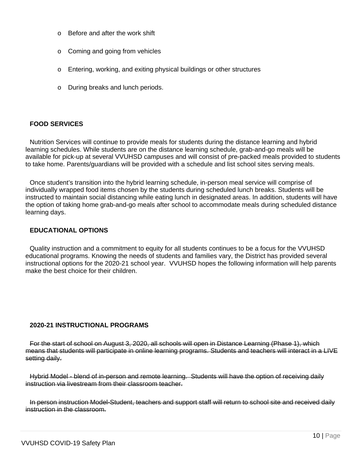- o Before and after the work shift
- o Coming and going from vehicles
- o Entering, working, and exiting physical buildings or other structures
- o During breaks and lunch periods.

#### **FOOD SERVICES**

Nutrition Services will continue to provide meals for students during the distance learning and hybrid learning schedules. While students are on the distance learning schedule, grab-and-go meals will be available for pick-up at several VVUHSD campuses and will consist of pre-packed meals provided to students to take home. Parents/guardians will be provided with a schedule and list school sites serving meals.

Once student's transition into the hybrid learning schedule, in-person meal service will comprise of individually wrapped food items chosen by the students during scheduled lunch breaks. Students will be instructed to maintain social distancing while eating lunch in designated areas. In addition, students will have the option of taking home grab-and-go meals after school to accommodate meals during scheduled distance learning days.

#### **EDUCATIONAL OPTIONS**

Quality instruction and a commitment to equity for all students continues to be a focus for the VVUHSD educational programs. Knowing the needs of students and families vary, the District has provided several instructional options for the 2020-21 school year. VVUHSD hopes the following information will help parents make the best choice for their children.

#### **2020-21 INSTRUCTIONAL PROGRAMS**

For the start of school on August 3, 2020, all schools will open in Distance Learning (Phase 1), which means that students will participate in online learning programs. Students and teachers will interact in a LIVE setting daily.

Hybrid Model - blend of in-person and remote learning. Students will have the option of receiving daily instruction via livestream from their classroom teacher.

In person instruction Model-Student, teachers and support staff will return to school site and received daily instruction in the classroom.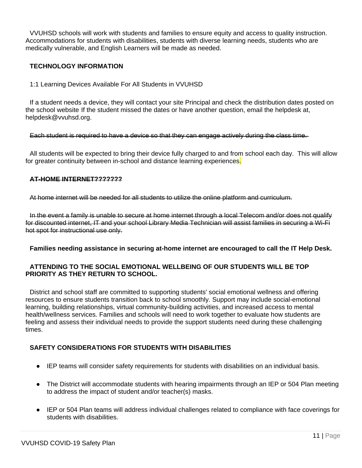VVUHSD schools will work with students and families to ensure equity and access to quality instruction. Accommodations for students with disabilities, students with diverse learning needs, students who are medically vulnerable, and English Learners will be made as needed.

#### **TECHNOLOGY INFORMATION**

1:1 Learning Devices Available For All Students in VVUHSD

If a student needs a device, they will contact your site Principal and check the distribution dates posted on the school website If the student missed the dates or have another question, email the helpdesk at, helpdesk@vvuhsd.org.

Each student is required to have a device so that they can engage actively during the class time.

All students will be expected to bring their device fully charged to and from school each day. This will allow for greater continuity between in-school and distance learning experiences.

#### **AT-HOME INTERNET???????**

At home internet will be needed for all students to utilize the online platform and curriculum.

In the event a family is unable to secure at home internet through a local Telecom and/or does not qualify for discounted internet, IT and your school Library Media Technician will assist families in securing a Wi-Fi hot spot for instructional use only.

#### **Families needing assistance in securing at-home internet are encouraged to call the IT Help Desk.**

#### **ATTENDING TO THE SOCIAL EMOTIONAL WELLBEING OF OUR STUDENTS WILL BE TOP PRIORITY AS THEY RETURN TO SCHOOL.**

District and school staff are committed to supporting students' social emotional wellness and offering resources to ensure students transition back to school smoothly. Support may include social-emotional learning, building relationships, virtual community-building activities, and increased access to mental health/wellness services. Families and schools will need to work together to evaluate how students are feeling and assess their individual needs to provide the support students need during these challenging times.

#### **SAFETY CONSIDERATIONS FOR STUDENTS WITH DISABILITIES**

- IEP teams will consider safety requirements for students with disabilities on an individual basis.
- The District will accommodate students with hearing impairments through an IEP or 504 Plan meeting to address the impact of student and/or teacher(s) masks.
- IEP or 504 Plan teams will address individual challenges related to compliance with face coverings for students with disabilities.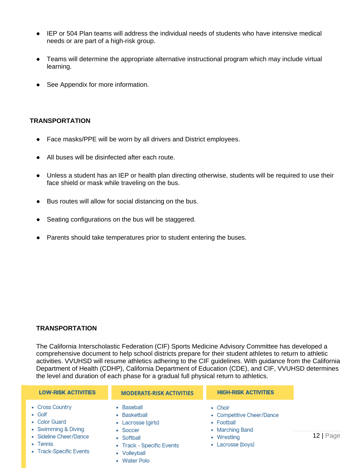- IEP or 504 Plan teams will address the individual needs of students who have intensive medical needs or are part of a high-risk group.
- Teams will determine the appropriate alternative instructional program which may include virtual learning.
- See Appendix for more information.

#### **TRANSPORTATION**

- Face masks/PPE will be worn by all drivers and District employees.
- All buses will be disinfected after each route.
- Unless a student has an IEP or health plan directing otherwise, students will be required to use their face shield or mask while traveling on the bus.
- Bus routes will allow for social distancing on the bus.
- Seating configurations on the bus will be staggered.
- Parents should take temperatures prior to student entering the buses.

#### **TRANSPORTATION**

The California Interscholastic Federation (CIF) Sports Medicine Advisory Committee has developed a comprehensive document to help school districts prepare for their student athletes to return to athletic activities. VVUHSD will resume athletics adhering to the CIF guidelines. With guidance from the California Department of Health (CDHP), California Department of Education (CDE), and CIF, VVUHSD determines the level and duration of each phase for a gradual full physical return to athletics.

| <b>LOW-RISK ACTIVITIES</b> | <b>MODERATE-RISK ACTIVITIES</b> | <b>HIGH-RISK ACTIVITIES</b> |
|----------------------------|---------------------------------|-----------------------------|
| • Cross Country            | • Baseball<br>• Choir           |                             |
| • Golf                     | • Basketball                    | • Competitive Cheer/Dance   |
| • Color Guard              | • Lacrosse (girls)              | • Football                  |
| • Swimming & Diving        | • Marching Band<br>• Soccer     |                             |
| • Sideline Cheer/Dance     | • Softball                      | • Wrestling                 |
| • Tennis                   | • Track - Specific Events       | • Lacrosse (boys)           |
| • Track-Specific Events    | Volleyball                      |                             |

• Water Polo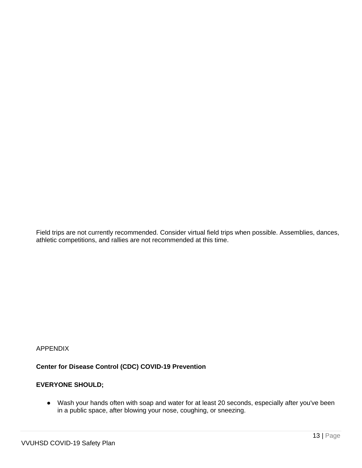Field trips are not currently recommended. Consider virtual field trips when possible. Assemblies, dances, athletic competitions, and rallies are not recommended at this time.

#### APPENDIX

#### **Center for Disease Control (CDC) COVID-19 Prevention**

#### **EVERYONE SHOULD;**

● Wash your hands often with soap and water for at least 20 seconds, especially after you've been in a public space, after blowing your nose, coughing, or sneezing.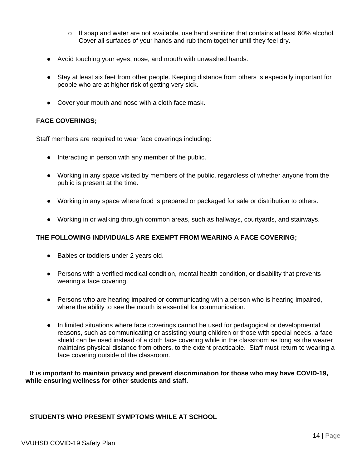- $\circ$  If soap and water are not available, use hand sanitizer that contains at least 60% alcohol. Cover all surfaces of your hands and rub them together until they feel dry.
- Avoid touching your eyes, nose, and mouth with unwashed hands.
- Stay at least six feet from other people. Keeping distance from others is especially important for people who are at higher risk of getting very sick.
- Cover your mouth and nose with a cloth face mask.

#### **FACE COVERINGS;**

Staff members are required to wear face coverings including:

- Interacting in person with any member of the public.
- Working in any space visited by members of the public, regardless of whether anyone from the public is present at the time.
- Working in any space where food is prepared or packaged for sale or distribution to others.
- Working in or walking through common areas, such as hallways, courtyards, and stairways.

#### **THE FOLLOWING INDIVIDUALS ARE EXEMPT FROM WEARING A FACE COVERING;**

- Babies or toddlers under 2 years old.
- Persons with a verified medical condition, mental health condition, or disability that prevents wearing a face covering.
- Persons who are hearing impaired or communicating with a person who is hearing impaired, where the ability to see the mouth is essential for communication.
- In limited situations where face coverings cannot be used for pedagogical or developmental reasons, such as communicating or assisting young children or those with special needs, a face shield can be used instead of a cloth face covering while in the classroom as long as the wearer maintains physical distance from others, to the extent practicable. Staff must return to wearing a face covering outside of the classroom.

**It is important to maintain privacy and prevent discrimination for those who may have COVID-19, while ensuring wellness for other students and staff.**

#### **STUDENTS WHO PRESENT SYMPTOMS WHILE AT SCHOOL**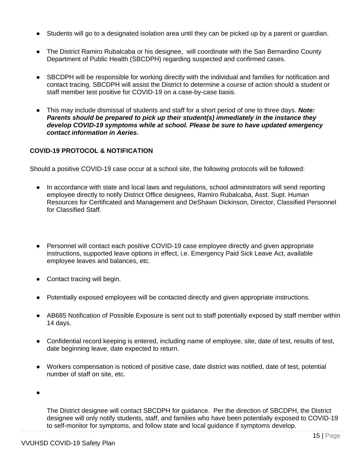- Students will go to a designated isolation area until they can be picked up by a parent or guardian.
- The District Ramiro Rubalcaba or his designee, will coordinate with the San Bernardino County Department of Public Health (SBCDPH) regarding suspected and confirmed cases.
- SBCDPH will be responsible for working directly with the individual and families for notification and contact tracing. SBCDPH will assist the District to determine a course of action should a student or staff member test positive for COVID-19 on a case-by-case basis.
- This may include dismissal of students and staff for a short period of one to three days. *Note: Parents should be prepared to pick up their student(s) immediately in the instance they develop COVID-19 symptoms while at school. Please be sure to have updated emergency contact information in Aeries.*

#### **COVID-19 PROTOCOL & NOTIFICATION**

Should a positive COVID-19 case occur at a school site, the following protocols will be followed:

- In accordance with state and local laws and regulations, school administrators will send reporting employee directly to notify District Office designees, Ramiro Rubalcaba, Asst. Supt. Human Resources for Certificated and Management and DeShawn Dickinson, Director, Classified Personnel for Classified Staff.
- Personnel will contact each positive COVID-19 case employee directly and given appropriate instructions, supported leave options in effect, i.e. Emergency Paid Sick Leave Act, available employee leaves and balances, etc.
- Contact tracing will begin.
- Potentially exposed employees will be contacted directly and given appropriate instructions.
- AB685 Notification of Possible Exposure is sent out to staff potentially exposed by staff member within 14 days.
- Confidential record keeping is entered, including name of employee, site, date of test, results of test, date beginning leave, date expected to return.
- Workers compensation is noticed of positive case, date district was notified, date of test, potential number of staff on site, etc.

●

The District designee will contact SBCDPH for guidance. Per the direction of SBCDPH, the District designee will only notify students, staff, and families who have been potentially exposed to COVID-19 to self-monitor for symptoms, and follow state and local guidance if symptoms develop.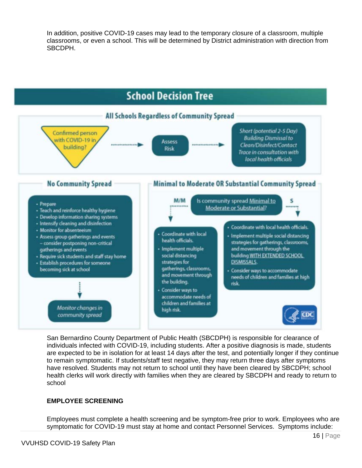In addition, positive COVID-19 cases may lead to the temporary closure of a classroom, multiple classrooms, or even a school. This will be determined by District administration with direction from SBCDPH.



San Bernardino County Department of Public Health (SBCDPH) is responsible for clearance of individuals infected with COVID-19, including students. After a positive diagnosis is made, students are expected to be in isolation for at least 14 days after the test, and potentially longer if they continue to remain symptomatic. If students/staff test negative, they may return three days after symptoms have resolved. Students may not return to school until they have been cleared by SBCDPH; school health clerks will work directly with families when they are cleared by SBCDPH and ready to return to school

#### **EMPLOYEE SCREENING**

Employees must complete a health screening and be symptom-free prior to work. Employees who are symptomatic for COVID-19 must stay at home and contact Personnel Services. Symptoms include: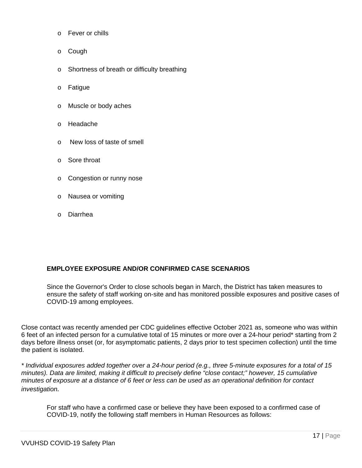- o Fever or chills
- o Cough
- o Shortness of breath or difficulty breathing
- o Fatigue
- o Muscle or body aches
- o Headache
- o New loss of taste of smell
- o Sore throat
- o Congestion or runny nose
- o Nausea or vomiting
- o Diarrhea

#### **EMPLOYEE EXPOSURE AND/OR CONFIRMED CASE SCENARIOS**

Since the Governor's Order to close schools began in March, the District has taken measures to ensure the safety of staff working on-site and has monitored possible exposures and positive cases of COVID-19 among employees.

Close contact was recently amended per CDC guidelines effective October 2021 as, someone who was within 6 feet of an infected person for a cumulative total of 15 minutes or more over a 24-hour period\* starting from 2 days before illness onset (or, for asymptomatic patients, 2 days prior to test specimen collection) until the time the patient is isolated.

*\* Individual exposures added together over a 24-hour period (e.g., three 5-minute exposures for a total of 15 minutes). Data are limited, making it difficult to precisely define "close contact;" however, 15 cumulative minutes of exposure at a distance of 6 feet or less can be used as an operational definition for contact investigation.* 

For staff who have a confirmed case or believe they have been exposed to a confirmed case of COVID-19, notify the following staff members in Human Resources as follows: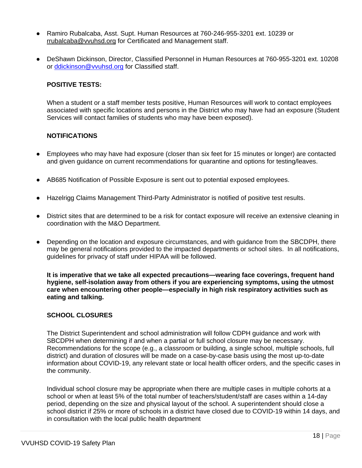- Ramiro Rubalcaba, Asst. Supt. Human Resources at 760-246-955-3201 ext. 10239 or [rrubalcaba@vvuhsd.org](mailto:rrubalcaba@vvuhsd.org) for Certificated and Management staff.
- DeShawn Dickinson, Director, Classified Personnel in Human Resources at 760-955-3201 ext. 10208 or [ddickinson@vvuhsd.org](mailto:ddickinson@vvuhsd.org) for Classified staff.

#### **POSITIVE TESTS:**

When a student or a staff member tests positive, Human Resources will work to contact employees associated with specific locations and persons in the District who may have had an exposure (Student Services will contact families of students who may have been exposed).

#### **NOTIFICATIONS**

- Employees who may have had exposure (closer than six feet for 15 minutes or longer) are contacted and given guidance on current recommendations for quarantine and options for testing/leaves.
- AB685 Notification of Possible Exposure is sent out to potential exposed employees.
- Hazelrigg Claims Management Third-Party Administrator is notified of positive test results.
- District sites that are determined to be a risk for contact exposure will receive an extensive cleaning in coordination with the M&O Department.
- Depending on the location and exposure circumstances, and with quidance from the SBCDPH, there may be general notifications provided to the impacted departments or school sites. In all notifications, guidelines for privacy of staff under HIPAA will be followed.

**It is imperative that we take all expected precautions—wearing face coverings, frequent hand hygiene, self-isolation away from others if you are experiencing symptoms, using the utmost care when encountering other people—especially in high risk respiratory activities such as eating and talking.**

#### **SCHOOL CLOSURES**

The District Superintendent and school administration will follow CDPH guidance and work with SBCDPH when determining if and when a partial or full school closure may be necessary. Recommendations for the scope (e.g., a classroom or building, a single school, multiple schools, full district) and duration of closures will be made on a case-by-case basis using the most up-to-date information about COVID-19, any relevant state or local health officer orders, and the specific cases in the community.

Individual school closure may be appropriate when there are multiple cases in multiple cohorts at a school or when at least 5% of the total number of teachers/student/staff are cases within a 14-day period, depending on the size and physical layout of the school. A superintendent should close a school district if 25% or more of schools in a district have closed due to COVID-19 within 14 days, and in consultation with the local public health department